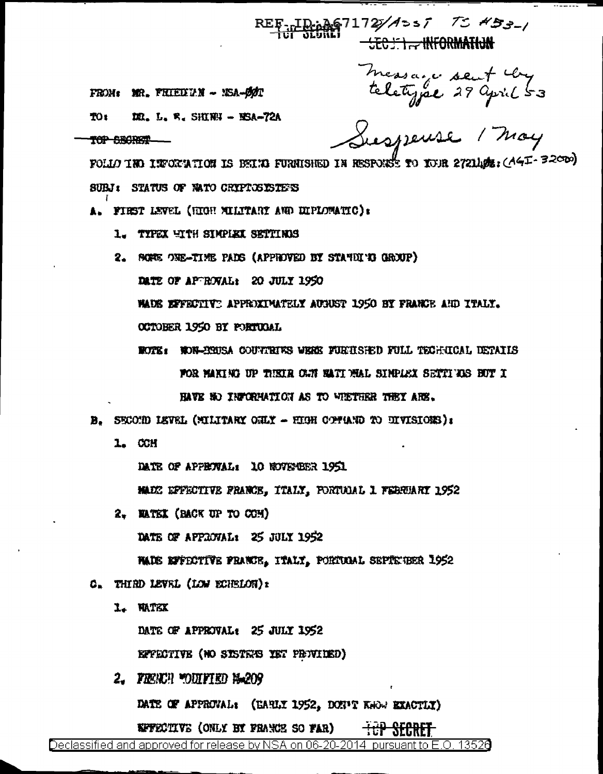REF-TD:A67172/A>s7 75 453-1 **EEG FIE INFORMATION** 

FROM: MR. FRIEDLY - NSA-ØØT

**DR. L. W. SHINH - BSA-72A** TO<sub>1</sub>

TOP SECRET

Messaire sent very<br>teletype 29 april 53<br>Susspense / May

FOLLO INO INFORMATION IS BEIND FURNISHED IN RESPONSE TO YOUR 2721 DE : (AGI-32000) SUBJ: STATUS OF WATO CRYPTOSISTEES

A. FIRST LEVEL (HIGH XILITARY AND DIPLOMATIC):

1. TYPEX WITH SIMPLEX SETTINGS

2. SCREE ONE-TIME PADS (APPROVED BY STANDING GROUP)

DATE OF APTROVAL: 20 JULY 1950

WAUE EFFECTIVE APPROXIMATELY AUGUST 1950 BY FRANCE AND ITALY.

OCTOBER 1950 BY PORTUGAL

ROTE: NON-ERUSA COUVIEURS WERE FUEILSHED FULL TECHICAL DETAILS FOR MAKING UP THEIR CAN NATI MAL SINPLEX SETTI DS BUT I HAVE NO INFORMATION AS TO WIETHER THEY ARE.

B. SECOND LEVEL (MILITARY CHLY - HIGH COPUND TO DIVISIONS):

1. CCH

DATE OF APPENVAL: 10 NOVEMBER 1951

MADE DFFECTIVE FRANCE, ITALY, FORTUDAL 1 FEBRUARY 1952

2. NATEX (BACK UP TO COM)

DATE OF APPROVAL: 25 JULY 1952

HADE EFFECTIVE PRANCE, ITALY, PORTUGAL SEPIENER 1952

- C. THIRD LEVEL (LOW ECHELOR):
	- I. WATEX

DATE OF APPROVAL: 25 JULY 1952

EFFECTIVE (NO SISTEMS IET PROVIDED)

2. FRENCH MODIFIED MARCH

DATE OF APPROVAL: (EARLY 1952, DON'T KWW EXACTLY)

**EFFECTIVE (ONLY BY FRANCE SO FAR)**